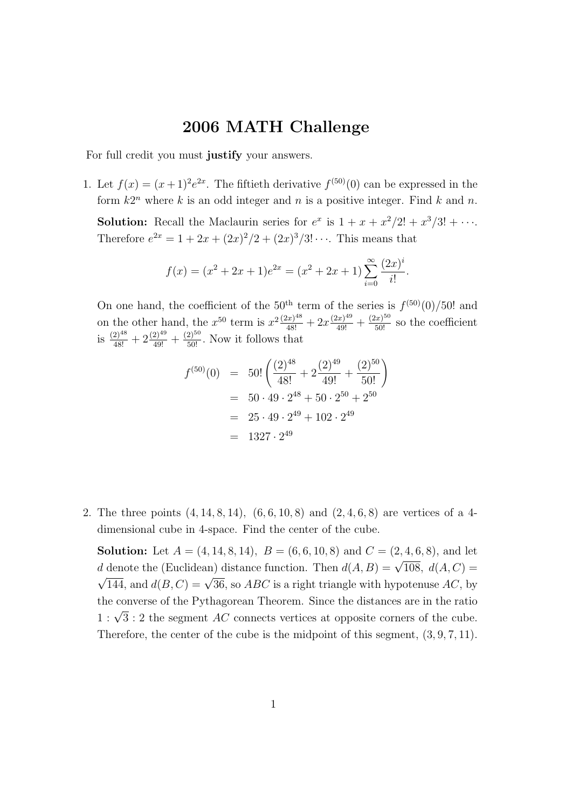## 2006 MATH Challenge

For full credit you must justify your answers.

1. Let  $f(x) = (x+1)^2 e^{2x}$ . The fiftieth derivative  $f^{(50)}(0)$  can be expressed in the form  $k2^n$  where k is an odd integer and n is a positive integer. Find k and n.

**Solution:** Recall the Maclaurin series for  $e^x$  is  $1 + x + \frac{x^2}{2!} + \frac{x^3}{3!} + \cdots$ . Therefore  $e^{2x} = 1 + 2x + (2x)^2/2 + (2x)^3/3! \cdots$ . This means that

$$
f(x) = (x^{2} + 2x + 1)e^{2x} = (x^{2} + 2x + 1) \sum_{i=0}^{\infty} \frac{(2x)^{i}}{i!}.
$$

On one hand, the coefficient of the 50<sup>th</sup> term of the series is  $f^{(50)}(0)/50!$  and on the other hand, the  $x^{50}$  term is  $x^{2} \frac{(2x)^{48}}{48!} + 2x \frac{(2x)^{49}}{49!} + \frac{(2x)^{50}}{50!}$  so the coefficient is  $\frac{(2)^{48}}{48!} + 2 \frac{(2)^{49}}{49!} + \frac{(2)^{50}}{50!}$ . Now it follows that

$$
f^{(50)}(0) = 50! \left( \frac{(2)^{48}}{48!} + 2 \frac{(2)^{49}}{49!} + \frac{(2)^{50}}{50!} \right)
$$
  
= 50 \cdot 49 \cdot 2^{48} + 50 \cdot 2^{50} + 2^{50}  
= 25 \cdot 49 \cdot 2^{49} + 102 \cdot 2^{49}  
= 1327 \cdot 2^{49}

2. The three points (4, 14, 8, 14), (6, 6, 10, 8) and (2, 4, 6, 8) are vertices of a 4 dimensional cube in 4-space. Find the center of the cube.

**Solution:** Let  $A = (4, 14, 8, 14)$ ,  $B = (6, 6, 10, 8)$  and  $C = (2, 4, 6, 8)$ , and let d denote the (Euclidean) distance function. Then  $d(A, B) = \sqrt{108}$ ,  $d(A, C) = \sqrt{108}$ 144, and  $d(B, C) = \sqrt{36}$ , so *ABC* is a right triangle with hypotenuse *AC*, by the converse of the Pythagorean Theorem. Since the distances are in the ratio  $1 : \sqrt{3} : 2$  the segment AC connects vertices at opposite corners of the cube. Therefore, the center of the cube is the midpoint of this segment,  $(3, 9, 7, 11)$ .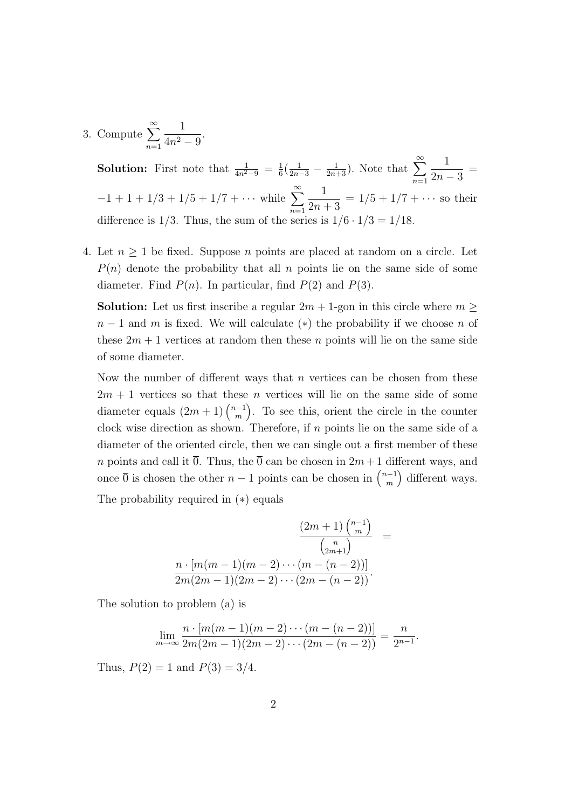3. Compute  $\sum^{\infty}$  $n=1$ 1  $\frac{1}{4n^2-9}$ .

> **Solution:** First note that  $\frac{1}{4n^2-9} = \frac{1}{6}$  $\frac{1}{6}(\frac{1}{2n-3} - \frac{1}{2n-3})$  $\frac{1}{2n+3}$ ). Note that  $\sum_{n=1}^{\infty}$ 1  $2n - 3$ =  $-1 + 1 + 1/3 + 1/5 + 1/7 + \cdots$  while  $\sum_{n=1}^{\infty}$  $n=1$ 1  $2n + 3$  $= 1/5 + 1/7 + \cdots$  so their difference is  $1/3$ . Thus, the sum of the series is  $1/6 \cdot 1/3 = 1/18$ .

4. Let  $n \geq 1$  be fixed. Suppose n points are placed at random on a circle. Let  $P(n)$  denote the probability that all n points lie on the same side of some diameter. Find  $P(n)$ . In particular, find  $P(2)$  and  $P(3)$ .

**Solution:** Let us first inscribe a regular  $2m + 1$ -gon in this circle where  $m \geq$  $n-1$  and m is fixed. We will calculate (\*) the probability if we choose n of these  $2m + 1$  vertices at random then these n points will lie on the same side of some diameter.

Now the number of different ways that  $n$  vertices can be chosen from these  $2m + 1$  vertices so that these *n* vertices will lie on the same side of some diameter equals  $(2m+1)$  $\binom{n-1}{m}$ m . To see this, orient the circle in the counter clock wise direction as shown. Therefore, if  $n$  points lie on the same side of a diameter of the oriented circle, then we can single out a first member of these *n* points and call it  $\overline{0}$ . Thus, the  $\overline{0}$  can be chosen in  $2m+1$  different ways, and once  $\overline{0}$  is chosen the other  $n-1$  points can be chosen in  $\binom{n-1}{m}$ m different ways. The probability required in (∗) equals

$$
\frac{(2m+1)\binom{n-1}{m}}{\binom{n}{2m+1}} = \frac{n \cdot [m(m-1)(m-2)\cdots(m-(n-2))]}{2m(2m-1)(2m-2)\cdots(2m-(n-2))}.
$$

The solution to problem (a) is

$$
\lim_{m \to \infty} \frac{n \cdot [m(m-1)(m-2)\cdots(m-(n-2))] }{2m(2m-1)(2m-2)\cdots(2m-(n-2))} = \frac{n}{2^{n-1}}.
$$

Thus,  $P(2) = 1$  and  $P(3) = 3/4$ .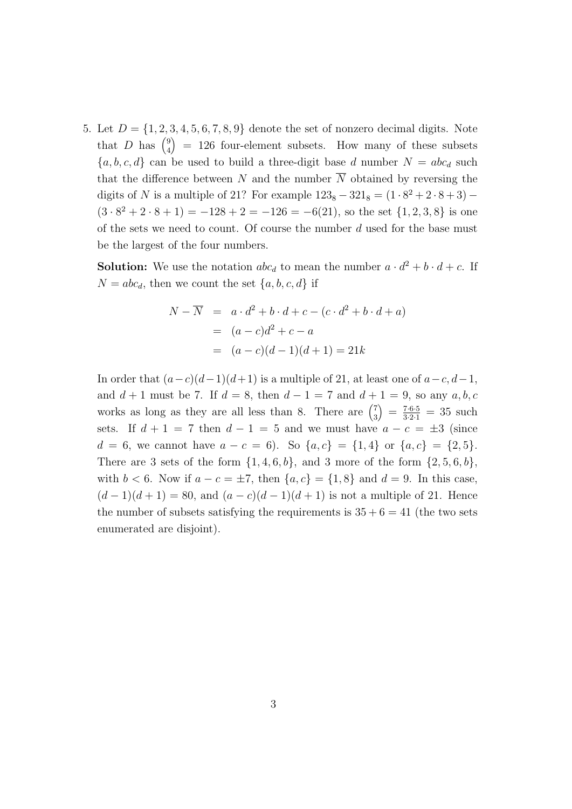5. Let  $D = \{1, 2, 3, 4, 5, 6, 7, 8, 9\}$  denote the set of nonzero decimal digits. Note that D has  $\binom{9}{4}$ 4  $= 126$  four-element subsets. How many of these subsets  ${a, b, c, d}$  can be used to build a three-digit base d number  $N = abc_d$  such that the difference between N and the number  $\overline{N}$  obtained by reversing the digits of N is a multiple of 21? For example  $123_8 - 321_8 = (1 \cdot 8^2 + 2 \cdot 8 + 3) (3 \cdot 8^2 + 2 \cdot 8 + 1) = -128 + 2 = -126 = -6(21)$ , so the set  $\{1, 2, 3, 8\}$  is one of the sets we need to count. Of course the number  $d$  used for the base must be the largest of the four numbers.

**Solution:** We use the notation  $abc_d$  to mean the number  $a \cdot d^2 + b \cdot d + c$ . If  $N = abc_d$ , then we count the set  $\{a, b, c, d\}$  if

$$
N - \overline{N} = a \cdot d^{2} + b \cdot d + c - (c \cdot d^{2} + b \cdot d + a)
$$
  
=  $(a - c)d^{2} + c - a$   
=  $(a - c)(d - 1)(d + 1) = 21k$ 

In order that  $(a-c)(d-1)(d+1)$  is a multiple of 21, at least one of  $a-c, d-1$ , and  $d + 1$  must be 7. If  $d = 8$ , then  $d - 1 = 7$  and  $d + 1 = 9$ , so any  $a, b, c$ works as long as they are all less than 8. There are  $\binom{7}{3}$ 3  $\left( \right) = \frac{7 \cdot 6 \cdot 5}{3 \cdot 2 \cdot 1} = 35$  such sets. If  $d + 1 = 7$  then  $d - 1 = 5$  and we must have  $a - c = \pm 3$  (since  $d = 6$ , we cannot have  $a - c = 6$ . So  $\{a, c\} = \{1, 4\}$  or  $\{a, c\} = \{2, 5\}.$ There are 3 sets of the form  $\{1, 4, 6, b\}$ , and 3 more of the form  $\{2, 5, 6, b\}$ , with  $b < 6$ . Now if  $a - c = \pm 7$ , then  $\{a, c\} = \{1, 8\}$  and  $d = 9$ . In this case,  $(d-1)(d+1) = 80$ , and  $(a-c)(d-1)(d+1)$  is not a multiple of 21. Hence the number of subsets satisfying the requirements is  $35 + 6 = 41$  (the two sets enumerated are disjoint).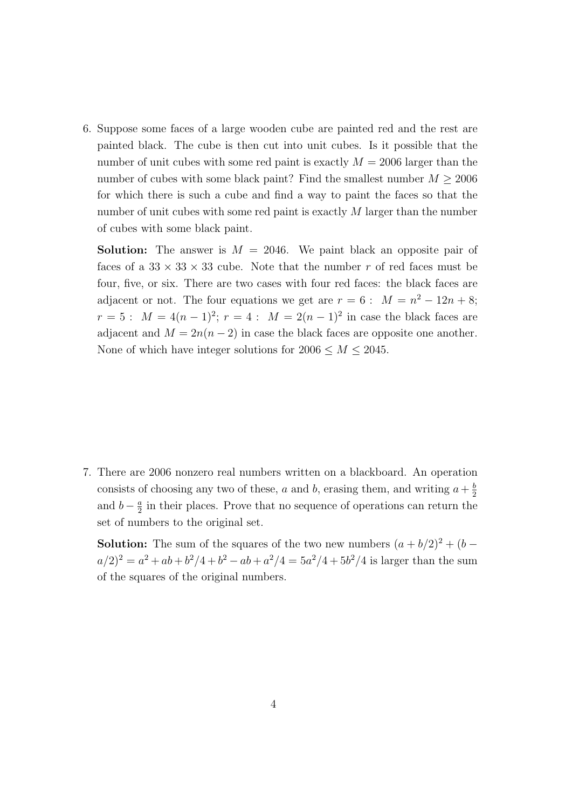6. Suppose some faces of a large wooden cube are painted red and the rest are painted black. The cube is then cut into unit cubes. Is it possible that the number of unit cubes with some red paint is exactly  $M = 2006$  larger than the number of cubes with some black paint? Find the smallest number  $M \geq 2006$ for which there is such a cube and find a way to paint the faces so that the number of unit cubes with some red paint is exactly M larger than the number of cubes with some black paint.

**Solution:** The answer is  $M = 2046$ . We paint black an opposite pair of faces of a  $33 \times 33 \times 33$  cube. Note that the number r of red faces must be four, five, or six. There are two cases with four red faces: the black faces are adjacent or not. The four equations we get are  $r = 6$ :  $M = n^2 - 12n + 8$ ;  $r = 5:$   $M = 4(n-1)^2$ ;  $r = 4:$   $M = 2(n-1)^2$  in case the black faces are adjacent and  $M = 2n(n-2)$  in case the black faces are opposite one another. None of which have integer solutions for  $2006 \leq M \leq 2045$ .

7. There are 2006 nonzero real numbers written on a blackboard. An operation consists of choosing any two of these, a and b, erasing them, and writing  $a + \frac{b}{2}$ 2 and  $b - \frac{a}{2}$  $\frac{a}{2}$  in their places. Prove that no sequence of operations can return the set of numbers to the original set.

**Solution:** The sum of the squares of the two new numbers  $(a + b/2)^2 + (b - b/2)^2$  $a/2)^2 = a^2 + ab + b^2/4 + b^2 - ab + a^2/4 = 5a^2/4 + 5b^2/4$  is larger than the sum of the squares of the original numbers.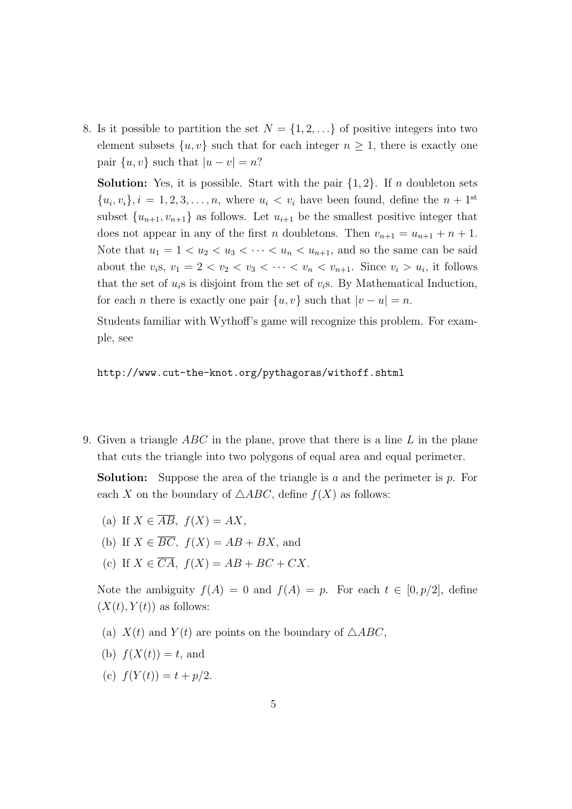8. Is it possible to partition the set  $N = \{1, 2, ...\}$  of positive integers into two element subsets  $\{u, v\}$  such that for each integer  $n \geq 1$ , there is exactly one pair  $\{u, v\}$  such that  $|u - v| = n$ ?

**Solution:** Yes, it is possible. Start with the pair  $\{1, 2\}$ . If n doubleton sets  ${u_i, v_i}, i = 1, 2, 3, \ldots, n$ , where  $u_i < v_i$  have been found, define the  $n + 1$ <sup>st</sup> subset  $\{u_{n+1}, v_{n+1}\}$  as follows. Let  $u_{i+1}$  be the smallest positive integer that does not appear in any of the first *n* doubletons. Then  $v_{n+1} = u_{n+1} + n + 1$ . Note that  $u_1 = 1 < u_2 < u_3 < \cdots < u_n < u_{n+1}$ , and so the same can be said about the  $v_i$ s,  $v_1 = 2 < v_2 < v_3 < \cdots < v_n < v_{n+1}$ . Since  $v_i > u_i$ , it follows that the set of  $u_i$ s is disjoint from the set of  $v_i$ s. By Mathematical Induction, for each *n* there is exactly one pair  $\{u, v\}$  such that  $|v - u| = n$ .

Students familiar with Wythoff's game will recognize this problem. For example, see

http://www.cut-the-knot.org/pythagoras/withoff.shtml

9. Given a triangle  $ABC$  in the plane, prove that there is a line L in the plane that cuts the triangle into two polygons of equal area and equal perimeter.

**Solution:** Suppose the area of the triangle is a and the perimeter is  $p$ . For each X on the boundary of  $\triangle ABC$ , define  $f(X)$  as follows:

- (a) If  $X \in \overline{AB}$ ,  $f(X) = AX$ ,
- (b) If  $X \in \overline{BC}$ ,  $f(X) = AB + BX$ , and
- (c) If  $X \in \overline{CA}$ ,  $f(X) = AB + BC + CX$ .

Note the ambiguity  $f(A) = 0$  and  $f(A) = p$ . For each  $t \in [0, p/2]$ , define  $(X(t), Y(t))$  as follows:

- (a)  $X(t)$  and  $Y(t)$  are points on the boundary of  $\triangle ABC$ ,
- (b)  $f(X(t)) = t$ , and
- (c)  $f(Y(t)) = t + p/2$ .